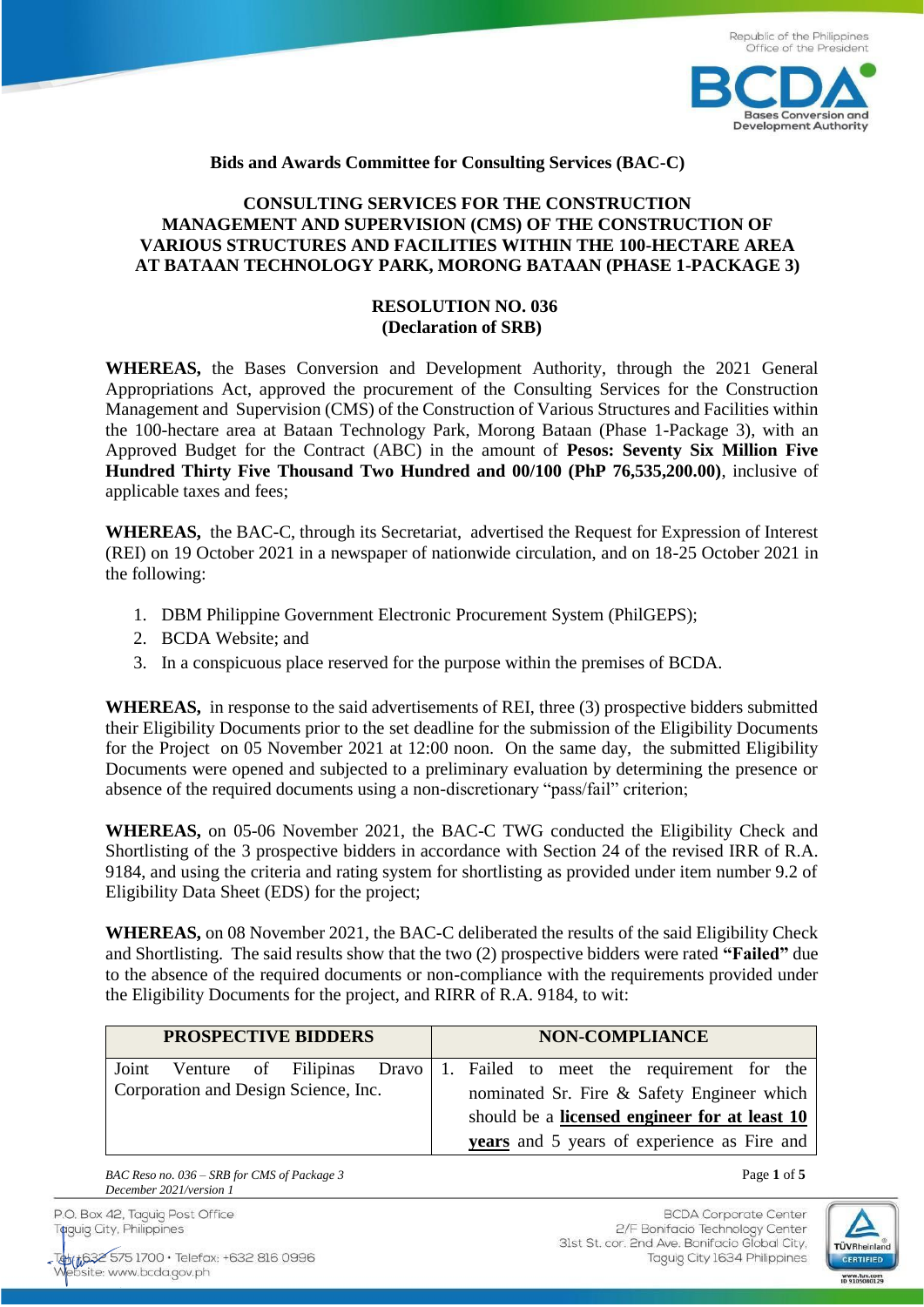

## **Bids and Awards Committee for Consulting Services (BAC-C)**

## **CONSULTING SERVICES FOR THE CONSTRUCTION MANAGEMENT AND SUPERVISION (CMS) OF THE CONSTRUCTION OF VARIOUS STRUCTURES AND FACILITIES WITHIN THE 100-HECTARE AREA AT BATAAN TECHNOLOGY PARK, MORONG BATAAN (PHASE 1-PACKAGE 3)**

## **RESOLUTION NO. 036 (Declaration of SRB)**

**WHEREAS,** the Bases Conversion and Development Authority, through the 2021 General Appropriations Act, approved the procurement of the Consulting Services for the Construction Management and Supervision (CMS) of the Construction of Various Structures and Facilities within the 100-hectare area at Bataan Technology Park, Morong Bataan (Phase 1-Package 3), with an Approved Budget for the Contract (ABC) in the amount of **Pesos: Seventy Six Million Five Hundred Thirty Five Thousand Two Hundred and 00/100 (PhP 76,535,200.00)**, inclusive of applicable taxes and fees;

**WHEREAS,** the BAC-C, through its Secretariat, advertised the Request for Expression of Interest (REI) on 19 October 2021 in a newspaper of nationwide circulation, and on 18-25 October 2021 in the following:

- 1. DBM Philippine Government Electronic Procurement System (PhilGEPS);
- 2. BCDA Website; and
- 3. In a conspicuous place reserved for the purpose within the premises of BCDA.

**WHEREAS,** in response to the said advertisements of REI, three (3) prospective bidders submitted their Eligibility Documents prior to the set deadline for the submission of the Eligibility Documents for the Project on 05 November 2021 at 12:00 noon. On the same day, the submitted Eligibility Documents were opened and subjected to a preliminary evaluation by determining the presence or absence of the required documents using a non-discretionary "pass/fail" criterion;

**WHEREAS,** on 05-06 November 2021, the BAC-C TWG conducted the Eligibility Check and Shortlisting of the 3 prospective bidders in accordance with Section 24 of the revised IRR of R.A. 9184, and using the criteria and rating system for shortlisting as provided under item number 9.2 of Eligibility Data Sheet (EDS) for the project;

**WHEREAS,** on 08 November 2021, the BAC-C deliberated the results of the said Eligibility Check and Shortlisting. The said results show that the two (2) prospective bidders were rated **"Failed"** due to the absence of the required documents or non-compliance with the requirements provided under the Eligibility Documents for the project, and RIRR of R.A. 9184, to wit:

| <b>PROSPECTIVE BIDDERS</b>           |  |  |  | <b>NON-COMPLIANCE</b>                      |  |  |  |  |                                               |                                                                            |  |
|--------------------------------------|--|--|--|--------------------------------------------|--|--|--|--|-----------------------------------------------|----------------------------------------------------------------------------|--|
|                                      |  |  |  |                                            |  |  |  |  |                                               | Joint Venture of Filipinas Dravo 1. Failed to meet the requirement for the |  |
| Corporation and Design Science, Inc. |  |  |  | nominated Sr. Fire & Safety Engineer which |  |  |  |  |                                               |                                                                            |  |
|                                      |  |  |  |                                            |  |  |  |  | should be a licensed engineer for at least 10 |                                                                            |  |
|                                      |  |  |  |                                            |  |  |  |  | years and 5 years of experience as Fire and   |                                                                            |  |

*BAC Reso no. 036 – SRB for CMS of Package 3* Page **1** of **5** *December 2021/version 1*

P.O. Box 42, Taguig Post Office Taguig City, Philippines

Teb(#6325751700 · Telefax: +632 816 0996 site: www.bcda.gov.ph

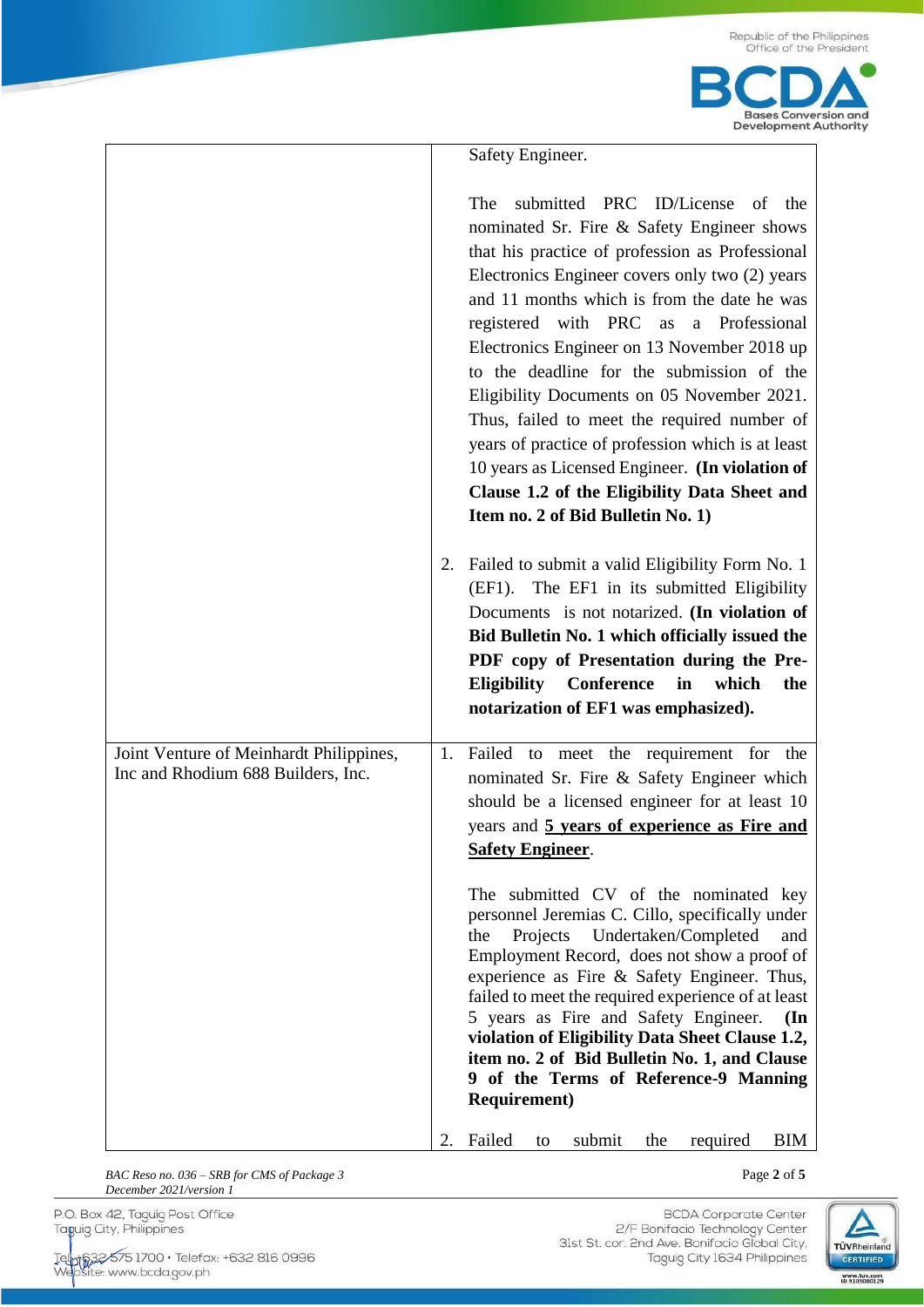|                                                                               |    | Safety Engineer.                                                                                                                                                                                                                                                                                                                                                                                                                                                                                                                                                                                                                                                                                                                                 |
|-------------------------------------------------------------------------------|----|--------------------------------------------------------------------------------------------------------------------------------------------------------------------------------------------------------------------------------------------------------------------------------------------------------------------------------------------------------------------------------------------------------------------------------------------------------------------------------------------------------------------------------------------------------------------------------------------------------------------------------------------------------------------------------------------------------------------------------------------------|
|                                                                               |    | submitted PRC ID/License of the<br>The<br>nominated Sr. Fire & Safety Engineer shows<br>that his practice of profession as Professional<br>Electronics Engineer covers only two (2) years<br>and 11 months which is from the date he was<br>registered with PRC as a Professional<br>Electronics Engineer on 13 November 2018 up<br>to the deadline for the submission of the<br>Eligibility Documents on 05 November 2021.<br>Thus, failed to meet the required number of<br>years of practice of profession which is at least<br>10 years as Licensed Engineer. (In violation of<br>Clause 1.2 of the Eligibility Data Sheet and<br>Item no. 2 of Bid Bulletin No. 1)                                                                          |
|                                                                               | 2. | Failed to submit a valid Eligibility Form No. 1<br>(EF1). The EF1 in its submitted Eligibility<br>Documents is not notarized. (In violation of<br>Bid Bulletin No. 1 which officially issued the<br>PDF copy of Presentation during the Pre-<br><b>Eligibility</b> Conference<br>which<br>in<br>the<br>notarization of EF1 was emphasized).                                                                                                                                                                                                                                                                                                                                                                                                      |
| Joint Venture of Meinhardt Philippines,<br>Inc and Rhodium 688 Builders, Inc. | 1. | Failed to meet the requirement for the<br>nominated Sr. Fire & Safety Engineer which<br>should be a licensed engineer for at least 10<br>years and 5 years of experience as Fire and<br><b>Safety Engineer.</b><br>The submitted CV of the nominated key<br>personnel Jeremias C. Cillo, specifically under<br>Projects<br>Undertaken/Completed<br>the<br>and<br>Employment Record, does not show a proof of<br>experience as Fire & Safety Engineer. Thus,<br>failed to meet the required experience of at least<br>5 years as Fire and Safety Engineer.<br>$(\mathbf{In})$<br>violation of Eligibility Data Sheet Clause 1.2,<br>item no. 2 of Bid Bulletin No. 1, and Clause<br>9 of the Terms of Reference-9 Manning<br><b>Requirement</b> ) |

2. Failed to submit the required BIM

**BAC Reso no. 036 – SRB** for CMS of Package 3 Page 2 of 5 *December 2021/version 1*

P.O. Box 42, Taguig Post Office Taguig City, Philippines

Tellyt632 575 1700 · Telefax: +632 816 0996<br>Website: www.bcda.gov.ph

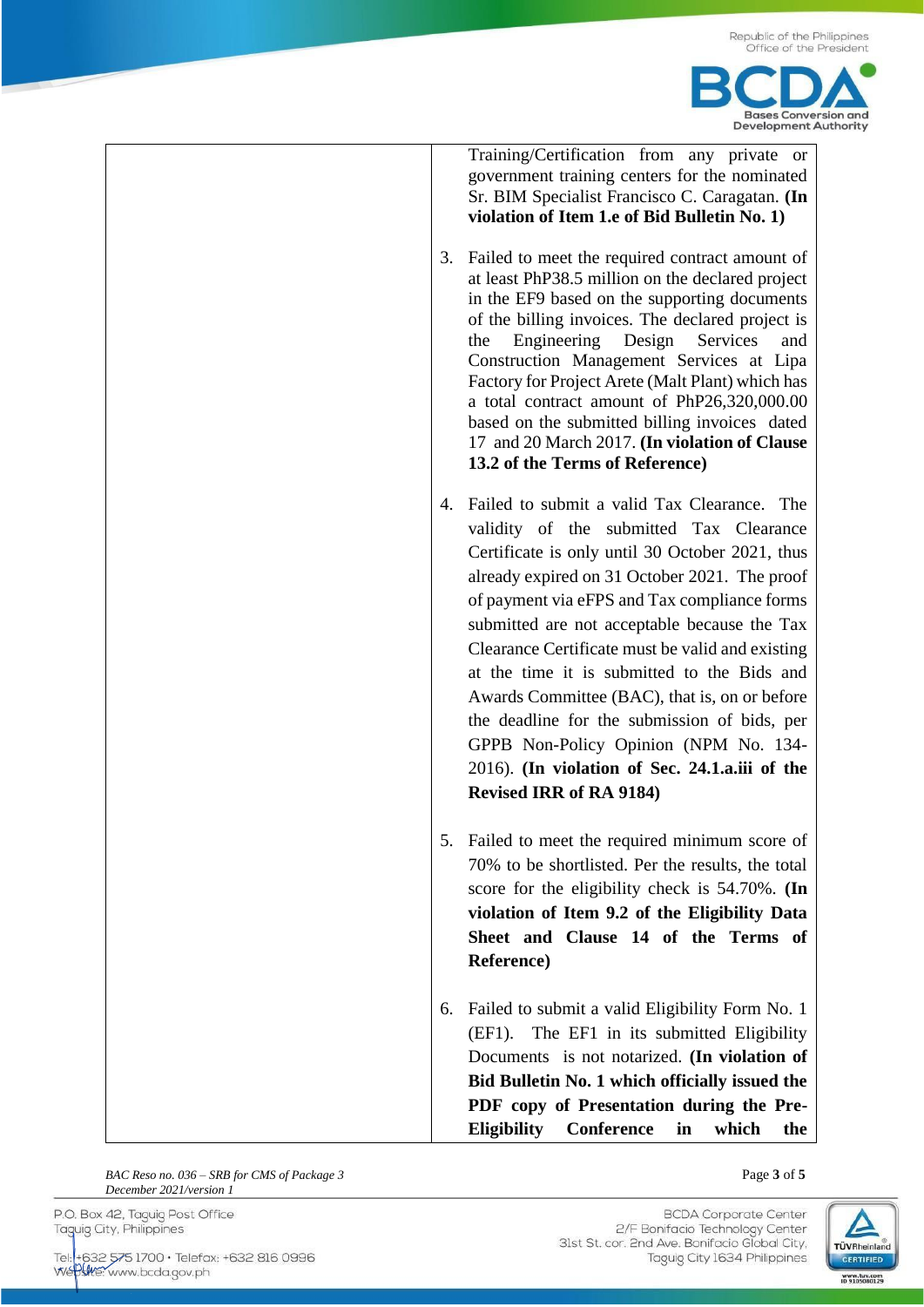

Training/Certification from any private or government training centers for the nominated Sr. BIM Specialist Francisco C. Caragatan. **(In violation of Item 1.e of Bid Bulletin No. 1)**

- 3. Failed to meet the required contract amount of at least PhP38.5 million on the declared project in the EF9 based on the supporting documents of the billing invoices. The declared project is the Engineering Design Services and Construction Management Services at Lipa Factory for Project Arete (Malt Plant) which has a total contract amount of PhP26,320,000.00 based on the submitted billing invoices dated 17 and 20 March 2017. **(In violation of Clause 13.2 of the Terms of Reference)**
- 4. Failed to submit a valid Tax Clearance. The validity of the submitted Tax Clearance Certificate is only until 30 October 2021, thus already expired on 31 October 2021. The proof of payment via eFPS and Tax compliance forms submitted are not acceptable because the Tax Clearance Certificate must be valid and existing at the time it is submitted to the Bids and Awards Committee (BAC), that is, on or before the deadline for the submission of bids, per GPPB Non-Policy Opinion (NPM No. 134- 2016). **(In violation of Sec. 24.1.a.iii of the Revised IRR of RA 9184)**
- 5. Failed to meet the required minimum score of 70% to be shortlisted. Per the results, the total score for the eligibility check is 54.70%. **(In violation of Item 9.2 of the Eligibility Data Sheet and Clause 14 of the Terms of Reference)**
- 6. Failed to submit a valid Eligibility Form No. 1 (EF1). The EF1 in its submitted Eligibility Documents is not notarized. **(In violation of Bid Bulletin No. 1 which officially issued the PDF copy of Presentation during the Pre-Eligibility Conference in which the**

**BAC Reso no. 036 – SRB** for CMS of Package 3 **Page 3** of **5** Page 3 of **5** *December 2021/version 1*

P.O. Box 42, Taguig Post Office Taguig City, Philippines

Tel: +632 575 1700 · Telefax: +632 816 0996 Weblie: www.bcda.gov.ph

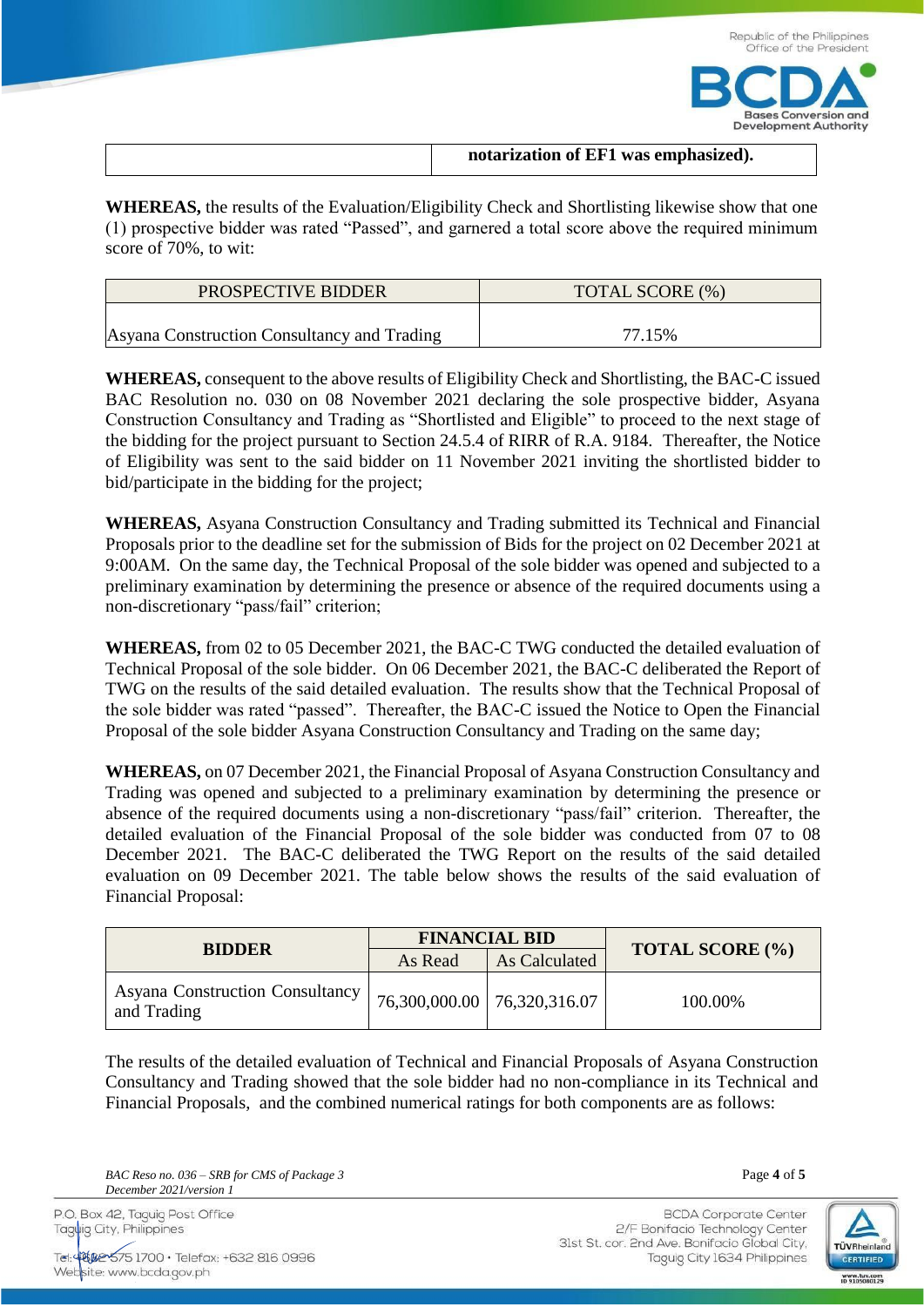

| notarization of EF1 was emphasized). |
|--------------------------------------|
|                                      |

**WHEREAS,** the results of the Evaluation/Eligibility Check and Shortlisting likewise show that one (1) prospective bidder was rated "Passed", and garnered a total score above the required minimum score of 70%, to wit:

| PROSPECTIVE BIDDER                          | TOTAL SCORE (%) |
|---------------------------------------------|-----------------|
| Asyana Construction Consultancy and Trading | 77.15%          |

**WHEREAS,** consequent to the above results of Eligibility Check and Shortlisting, the BAC-C issued BAC Resolution no. 030 on 08 November 2021 declaring the sole prospective bidder, Asyana Construction Consultancy and Trading as "Shortlisted and Eligible" to proceed to the next stage of the bidding for the project pursuant to Section 24.5.4 of RIRR of R.A. 9184. Thereafter, the Notice of Eligibility was sent to the said bidder on 11 November 2021 inviting the shortlisted bidder to bid/participate in the bidding for the project;

**WHEREAS,** Asyana Construction Consultancy and Trading submitted its Technical and Financial Proposals prior to the deadline set for the submission of Bids for the project on 02 December 2021 at 9:00AM. On the same day, the Technical Proposal of the sole bidder was opened and subjected to a preliminary examination by determining the presence or absence of the required documents using a non-discretionary "pass/fail" criterion;

**WHEREAS,** from 02 to 05 December 2021, the BAC-C TWG conducted the detailed evaluation of Technical Proposal of the sole bidder. On 06 December 2021, the BAC-C deliberated the Report of TWG on the results of the said detailed evaluation. The results show that the Technical Proposal of the sole bidder was rated "passed". Thereafter, the BAC-C issued the Notice to Open the Financial Proposal of the sole bidder Asyana Construction Consultancy and Trading on the same day;

**WHEREAS,** on 07 December 2021, the Financial Proposal of Asyana Construction Consultancy and Trading was opened and subjected to a preliminary examination by determining the presence or absence of the required documents using a non-discretionary "pass/fail" criterion. Thereafter, the detailed evaluation of the Financial Proposal of the sole bidder was conducted from 07 to 08 December 2021. The BAC-C deliberated the TWG Report on the results of the said detailed evaluation on 09 December 2021. The table below shows the results of the said evaluation of Financial Proposal:

| <b>BIDDER</b>                                         |         | <b>FINANCIAL BID</b>          | <b>TOTAL SCORE (%)</b> |  |
|-------------------------------------------------------|---------|-------------------------------|------------------------|--|
|                                                       | As Read | <b>As Calculated</b>          |                        |  |
| <b>Asyana Construction Consultancy</b><br>and Trading |         | 76,300,000.00   76,320,316.07 | 100.00%                |  |

The results of the detailed evaluation of Technical and Financial Proposals of Asyana Construction Consultancy and Trading showed that the sole bidder had no non-compliance in its Technical and Financial Proposals, and the combined numerical ratings for both components are as follows:

*BAC Reso no. 036 – SRB for CMS of Package 3* Page **4** of **5** *December 2021/version 1*

P.O. Box 42, Taguig Post Office Taguig City, Philippines

Tel: 4002-575 1700 · Telefax: +632 816 0996 Website: www.bcda.gov.ph